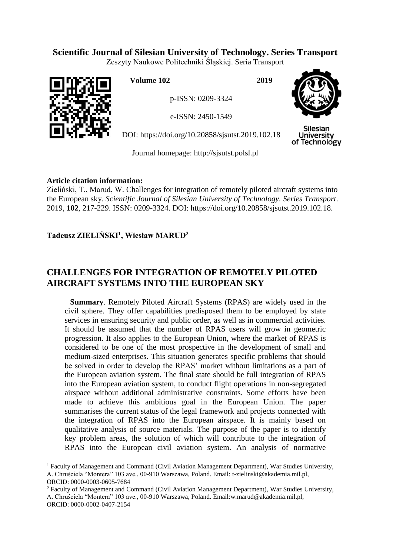# **Scientific Journal of Silesian University of Technology. Series Transport**

Zeszyty Naukowe Politechniki Śląskiej. Seria Transport



 $\overline{a}$ 

**Volume 102 2019**

p-ISSN: 0209-3324

e-ISSN: 2450-1549

DOI: https://doi.org/10.20858/sjsutst.2019.102.18



**Silesian University** of Technology

Journal homepage: [http://sjsutst.polsl.pl](http://sjsutst.polsl.pl/)

## **Article citation information:**

Zieliński, T., Marud, W. Challenges for integration of remotely piloted aircraft systems into the European sky. *Scientific Journal of Silesian University of Technology. Series Transport*. 2019, **102**, 217-229. ISSN: 0209-3324. DOI: https://doi.org/10.20858/sjsutst.2019.102.18.

## **Tadeusz ZIELIŃSKI<sup>1</sup> , Wiesław MARUD<sup>2</sup>**

# **CHALLENGES FOR INTEGRATION OF REMOTELY PILOTED AIRCRAFT SYSTEMS INTO THE EUROPEAN SKY**

**Summary**. Remotely Piloted Aircraft Systems (RPAS) are widely used in the civil sphere. They offer capabilities predisposed them to be employed by state services in ensuring security and public order, as well as in commercial activities. It should be assumed that the number of RPAS users will grow in geometric progression. It also applies to the European Union, where the market of RPAS is considered to be one of the most prospective in the development of small and medium-sized enterprises. This situation generates specific problems that should be solved in order to develop the RPAS' market without limitations as a part of the European aviation system. The final state should be full integration of RPAS into the European aviation system, to conduct flight operations in non-segregated airspace without additional administrative constraints. Some efforts have been made to achieve this ambitious goal in the European Union. The paper summarises the current status of the legal framework and projects connected with the integration of RPAS into the European airspace. It is mainly based on qualitative analysis of source materials. The purpose of the paper is to identify key problem areas, the solution of which will contribute to the integration of RPAS into the European civil aviation system. An analysis of normative

<sup>1</sup> Faculty of Management and Command (Civil Aviation Management Department), War Studies University, A. Chruściela "Montera" 103 ave., 00-910 Warszawa, Poland. Email: t-zielinski@akademia.mil.pl, ORCID: 0000-0003-0605-7684

<sup>&</sup>lt;sup>2</sup> Faculty of Management and Command (Civil Aviation Management Department), War Studies University, A. Chruściela "Montera" 103 ave., 00-910 Warszawa, Poland. Email:w.marud@akademia.mil.pl, ORCID: 0000-0002-0407-2154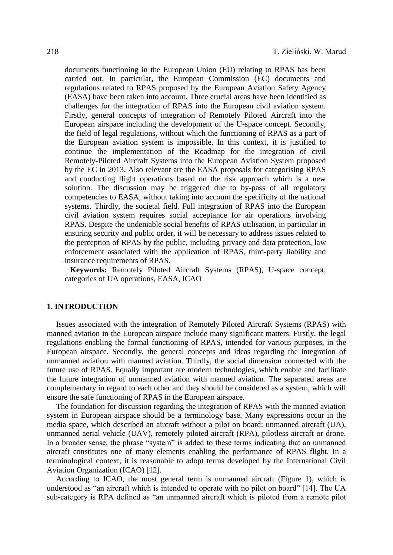documents functioning in the European Union (EU) relating to RPAS has been carried out. In particular, the European Commission (EC) documents and regulations related to RPAS proposed by the European Aviation Safety Agency (EASA) have been taken into account. Three crucial areas have been identified as challenges for the integration of RPAS into the European civil aviation system. Firstly, general concepts of integration of Remotely Piloted Aircraft into the European airspace including the development of the U-space concept. Secondly, the field of legal regulations, without which the functioning of RPAS as a part of the European aviation system is impossible. In this context, it is justified to continue the implementation of the Roadmap for the integration of civil Remotely-Piloted Aircraft Systems into the European Aviation System proposed by the EC in 2013. Also relevant are the EASA proposals for categorising RPAS and conducting flight operations based on the risk approach which is a new solution. The discussion may be triggered due to by-pass of all regulatory competencies to EASA, without taking into account the specificity of the national systems. Thirdly, the societal field. Full integration of RPAS into the European civil aviation system requires social acceptance for air operations involving RPAS. Despite the undeniable social benefits of RPAS utilisation, in particular in ensuring security and public order, it will be necessary to address issues related to the perception of RPAS by the public, including privacy and data protection, law enforcement associated with the application of RPAS, third-party liability and insurance requirements of RPAS.

**Keywords:** Remotely Piloted Aircraft Systems (RPAS), U-space concept, categories of UA operations, EASA, ICAO

### **1. INTRODUCTION**

Issues associated with the integration of Remotely Piloted Aircraft Systems (RPAS) with manned aviation in the European airspace include many significant matters. Firstly, the legal regulations enabling the formal functioning of RPAS, intended for various purposes, in the European airspace. Secondly, the general concepts and ideas regarding the integration of unmanned aviation with manned aviation. Thirdly, the social dimension connected with the future use of RPAS. Equally important are modern technologies, which enable and facilitate the future integration of unmanned aviation with manned aviation. The separated areas are complementary in regard to each other and they should be considered as a system, which will ensure the safe functioning of RPAS in the European airspace.

The foundation for discussion regarding the integration of RPAS with the manned aviation system in European airspace should be a terminology base. Many expressions occur in the media space, which described an aircraft without a pilot on board: unmanned aircraft (UA), unmanned aerial vehicle (UAV), remotely piloted aircraft (RPA), pilotless aircraft or drone. In a broader sense, the phrase "system" is added to these terms indicating that an unmanned aircraft constitutes one of many elements enabling the performance of RPAS flight. In a terminological context, it is reasonable to adopt terms developed by the International Civil Aviation Organization (ICAO) [12].

According to ICAO, the most general term is unmanned aircraft (Figure 1), which is understood as "an aircraft which is intended to operate with no pilot on board" [14]. The UA sub-category is RPA defined as "an unmanned aircraft which is piloted from a remote pilot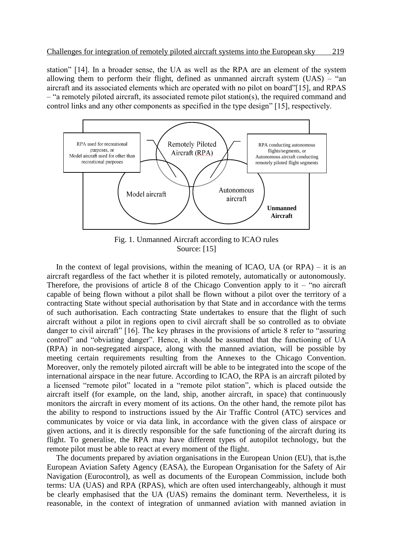station" [14]. In a broader sense, the UA as well as the RPA are an element of the system allowing them to perform their flight, defined as unmanned aircraft system  $(UAS)$  – "an aircraft and its associated elements which are operated with no pilot on board"[15], and RPAS – "a remotely piloted aircraft, its associated remote pilot station(s), the required command and control links and any other components as specified in the type design" [15], respectively.



Fig. 1. Unmanned Aircraft according to ICAO rules Source: [15]

In the context of legal provisions, within the meaning of ICAO, UA (or  $RPA$ ) – it is an aircraft regardless of the fact whether it is piloted remotely, automatically or autonomously. Therefore, the provisions of article 8 of the Chicago Convention apply to it – "no aircraft" capable of being flown without a pilot shall be flown without a pilot over the territory of a contracting State without special authorisation by that State and in accordance with the terms of such authorisation. Each contracting State undertakes to ensure that the flight of such aircraft without a pilot in regions open to civil aircraft shall be so controlled as to obviate danger to civil aircraft" [16]. The key phrases in the provisions of article 8 refer to "assuring control" and "obviating danger". Hence, it should be assumed that the functioning of UA (RPA) in non-segregated airspace, along with the manned aviation, will be possible by meeting certain requirements resulting from the Annexes to the Chicago Convention. Moreover, only the remotely piloted aircraft will be able to be integrated into the scope of the international airspace in the near future. According to ICAO, the RPA is an aircraft piloted by a licensed "remote pilot" located in a "remote pilot station", which is placed outside the aircraft itself (for example, on the land, ship, another aircraft, in space) that continuously monitors the aircraft in every moment of its actions. On the other hand, the remote pilot has the ability to respond to instructions issued by the Air Traffic Control (ATC) services and communicates by voice or via data link, in accordance with the given class of airspace or given actions, and it is directly responsible for the safe functioning of the aircraft during its flight. To generalise, the RPA may have different types of autopilot technology, but the remote pilot must be able to react at every moment of the flight.

The documents prepared by aviation organisations in the European Union (EU), that is,the European Aviation Safety Agency (EASA), the European Organisation for the Safety of Air Navigation (Eurocontrol), as well as documents of the European Commission, include both terms: UA (UAS) and RPA (RPAS), which are often used interchangeably, although it must be clearly emphasised that the UA (UAS) remains the dominant term. Nevertheless, it is reasonable, in the context of integration of unmanned aviation with manned aviation in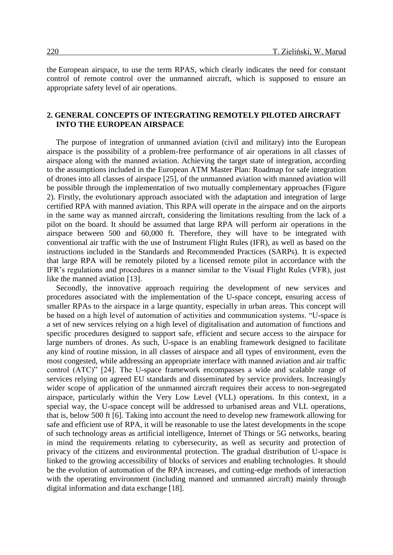the European airspace, to use the term RPAS, which clearly indicates the need for constant control of remote control over the unmanned aircraft, which is supposed to ensure an appropriate safety level of air operations.

## **2. GENERAL CONCEPTS OF INTEGRATING REMOTELY PILOTED AIRCRAFT INTO THE EUROPEAN AIRSPACE**

The purpose of integration of unmanned aviation (civil and military) into the European airspace is the possibility of a problem-free performance of air operations in all classes of airspace along with the manned aviation. Achieving the target state of integration, according to the assumptions included in the European ATM Master Plan: Roadmap for safe integration of drones into all classes of airspace [25], of the unmanned aviation with manned aviation will be possible through the implementation of two mutually complementary approaches (Figure 2). Firstly, the evolutionary approach associated with the adaptation and integration of large certified RPA with manned aviation. This RPA will operate in the airspace and on the airports in the same way as manned aircraft, considering the limitations resulting from the lack of a pilot on the board. It should be assumed that large RPA will perform air operations in the airspace between 500 and 60,000 ft. Therefore, they will have to be integrated with conventional air traffic with the use of Instrument Flight Rules (IFR), as well as based on the instructions included in the Standards and Recommended Practices (SARPs). It is expected that large RPA will be remotely piloted by a licensed remote pilot in accordance with the IFR's regulations and procedures in a manner similar to the Visual Flight Rules (VFR), just like the manned aviation [13].

Secondly, the innovative approach requiring the development of new services and procedures associated with the implementation of the U-space concept, ensuring access of smaller RPAs to the airspace in a large quantity, especially in urban areas. This concept will be based on a high level of automation of activities and communication systems. "U-space is a set of new services relying on a high level of digitalisation and automation of functions and specific procedures designed to support safe, efficient and secure access to the airspace for large numbers of drones. As such, U-space is an enabling framework designed to facilitate any kind of routine mission, in all classes of airspace and all types of environment, even the most congested, while addressing an appropriate interface with manned aviation and air traffic control (ATC)" [24]. The U-space framework encompasses a wide and scalable range of services relying on agreed EU standards and disseminated by service providers. Increasingly wider scope of application of the unmanned aircraft requires their access to non-segregated airspace, particularly within the Very Low Level (VLL) operations. In this context, in a special way, the U-space concept will be addressed to urbanised areas and VLL operations, that is, below 500 ft [6]. Taking into account the need to develop new framework allowing for safe and efficient use of RPA, it will be reasonable to use the latest developments in the scope of such technology areas as artificial intelligence, Internet of Things or 5G networks, bearing in mind the requirements relating to cybersecurity, as well as security and protection of privacy of the citizens and environmental protection. The gradual distribution of U-space is linked to the growing accessibility of blocks of services and enabling technologies. It should be the evolution of automation of the RPA increases, and cutting-edge methods of interaction with the operating environment (including manned and unmanned aircraft) mainly through digital information and data exchange [18].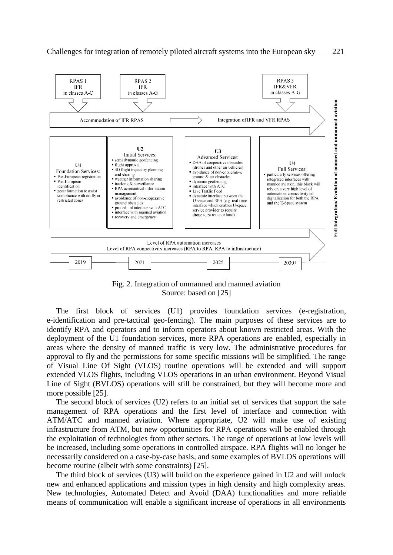

Fig. 2. Integration of unmanned and manned aviation Source: based on [25]

The first block of services (U1) provides foundation services (e-registration, e-identification and pre-tactical geo-fencing). The main purposes of these services are to identify RPA and operators and to inform operators about known restricted areas. With the deployment of the U1 foundation services, more RPA operations are enabled, especially in areas where the density of manned traffic is very low. The administrative procedures for approval to fly and the permissions for some specific missions will be simplified. The range of Visual Line Of Sight (VLOS) routine operations will be extended and will support extended VLOS flights, including VLOS operations in an urban environment. Beyond Visual Line of Sight (BVLOS) operations will still be constrained, but they will become more and more possible [25].

The second block of services (U2) refers to an initial set of services that support the safe management of RPA operations and the first level of interface and connection with ATM/ATC and manned aviation. Where appropriate, U2 will make use of existing infrastructure from ATM, but new opportunities for RPA operations will be enabled through the exploitation of technologies from other sectors. The range of operations at low levels will be increased, including some operations in controlled airspace. RPA flights will no longer be necessarily considered on a case-by-case basis, and some examples of BVLOS operations will become routine (albeit with some constraints) [25].

The third block of services (U3) will build on the experience gained in U2 and will unlock new and enhanced applications and mission types in high density and high complexity areas. New technologies, Automated Detect and Avoid (DAA) functionalities and more reliable means of communication will enable a significant increase of operations in all environments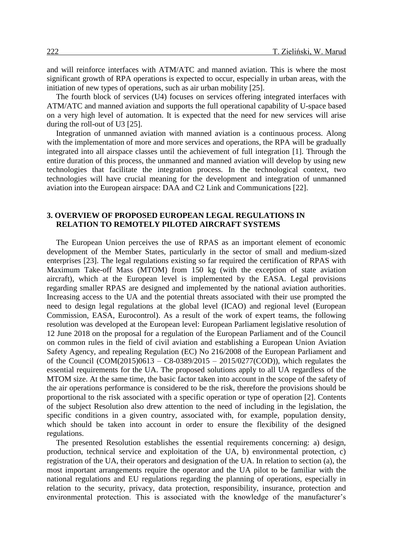and will reinforce interfaces with ATM/ATC and manned aviation. This is where the most significant growth of RPA operations is expected to occur, especially in urban areas, with the initiation of new types of operations, such as air urban mobility [25].

The fourth block of services (U4) focuses on services offering integrated interfaces with ATM/ATC and manned aviation and supports the full operational capability of U-space based on a very high level of automation. It is expected that the need for new services will arise during the roll-out of U3 [25].

Integration of unmanned aviation with manned aviation is a continuous process. Along with the implementation of more and more services and operations, the RPA will be gradually integrated into all airspace classes until the achievement of full integration [1]. Through the entire duration of this process, the unmanned and manned aviation will develop by using new technologies that facilitate the integration process. In the technological context, two technologies will have crucial meaning for the development and integration of unmanned aviation into the European airspace: DAA and C2 Link and Communications [22].

### **3. OVERVIEW OF PROPOSED EUROPEAN LEGAL REGULATIONS IN RELATION TO REMOTELY PILOTED AIRCRAFT SYSTEMS**

The European Union perceives the use of RPAS as an important element of economic development of the Member States, particularly in the sector of small and medium-sized enterprises [23]. The legal regulations existing so far required the certification of RPAS with Maximum Take-off Mass (MTOM) from 150 kg (with the exception of state aviation aircraft), which at the European level is implemented by the EASA. Legal provisions regarding smaller RPAS are designed and implemented by the national aviation authorities. Increasing access to the UA and the potential threats associated with their use prompted the need to design legal regulations at the global level (ICAO) and regional level (European Commission, EASA, Eurocontrol). As a result of the work of expert teams, the following resolution was developed at the European level: European Parliament legislative resolution of 12 June 2018 on the proposal for a regulation of the European Parliament and of the Council on common rules in the field of civil aviation and establishing a European Union Aviation Safety Agency, and repealing Regulation (EC) No 216/2008 of the European Parliament and of the Council  $(COM(2015)0613 - C8-0389/2015 - 2015/0277(COD))$ , which regulates the essential requirements for the UA. The proposed solutions apply to all UA regardless of the MTOM size. At the same time, the basic factor taken into account in the scope of the safety of the air operations performance is considered to be the risk, therefore the provisions should be proportional to the risk associated with a specific operation or type of operation [2]. Contents of the subject Resolution also drew attention to the need of including in the legislation, the specific conditions in a given country, associated with, for example, population density, which should be taken into account in order to ensure the flexibility of the designed regulations.

The presented Resolution establishes the essential requirements concerning: a) design, production, technical service and exploitation of the UA, b) environmental protection, c) registration of the UA, their operators and designation of the UA. In relation to section (a), the most important arrangements require the operator and the UA pilot to be familiar with the national regulations and EU regulations regarding the planning of operations, especially in relation to the security, privacy, data protection, responsibility, insurance, protection and environmental protection. This is associated with the knowledge of the manufacturer's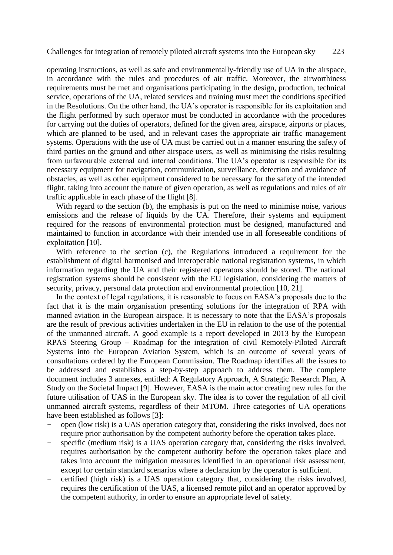operating instructions, as well as safe and environmentally-friendly use of UA in the airspace, in accordance with the rules and procedures of air traffic. Moreover, the airworthiness requirements must be met and organisations participating in the design, production, technical service, operations of the UA, related services and training must meet the conditions specified in the Resolutions. On the other hand, the UA's operator is responsible for its exploitation and the flight performed by such operator must be conducted in accordance with the procedures for carrying out the duties of operators, defined for the given area, airspace, airports or places, which are planned to be used, and in relevant cases the appropriate air traffic management systems. Operations with the use of UA must be carried out in a manner ensuring the safety of third parties on the ground and other airspace users, as well as minimising the risks resulting from unfavourable external and internal conditions. The UA's operator is responsible for its necessary equipment for navigation, communication, surveillance, detection and avoidance of obstacles, as well as other equipment considered to be necessary for the safety of the intended flight, taking into account the nature of given operation, as well as regulations and rules of air traffic applicable in each phase of the flight [8].

With regard to the section (b), the emphasis is put on the need to minimise noise, various emissions and the release of liquids by the UA. Therefore, their systems and equipment required for the reasons of environmental protection must be designed, manufactured and maintained to function in accordance with their intended use in all foreseeable conditions of exploitation [10].

With reference to the section (c), the Regulations introduced a requirement for the establishment of digital harmonised and interoperable national registration systems, in which information regarding the UA and their registered operators should be stored. The national registration systems should be consistent with the EU legislation, considering the matters of security, privacy, personal data protection and environmental protection [10, 21].

In the context of legal regulations, it is reasonable to focus on EASA's proposals due to the fact that it is the main organisation presenting solutions for the integration of RPA with manned aviation in the European airspace. It is necessary to note that the EASA's proposals are the result of previous activities undertaken in the EU in relation to the use of the potential of the unmanned aircraft. A good example is a report developed in 2013 by the European RPAS Steering Group – Roadmap for the integration of civil Remotely-Piloted Aircraft Systems into the European Aviation System, which is an outcome of several years of consultations ordered by the European Commission. The Roadmap identifies all the issues to be addressed and establishes a step-by-step approach to address them. The complete document includes 3 annexes, entitled: A Regulatory Approach, A Strategic Research Plan, A Study on the Societal Impact [9]. However, EASA is the main actor creating new rules for the future utilisation of UAS in the European sky. The idea is to cover the regulation of all civil unmanned aircraft systems, regardless of their MTOM. Three categories of UA operations have been established as follows [3]:

- open (low risk) is a UAS operation category that, considering the risks involved, does not require prior authorisation by the competent authority before the operation takes place.
- specific (medium risk) is a UAS operation category that, considering the risks involved, requires authorisation by the competent authority before the operation takes place and takes into account the mitigation measures identified in an operational risk assessment, except for certain standard scenarios where a declaration by the operator is sufficient.
- certified (high risk) is a UAS operation category that, considering the risks involved, requires the certification of the UAS, a licensed remote pilot and an operator approved by the competent authority, in order to ensure an appropriate level of safety.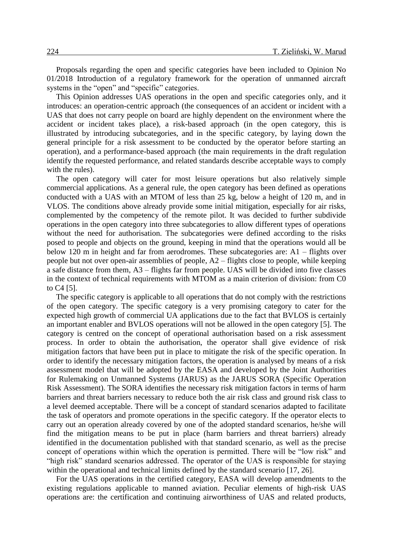Proposals regarding the open and specific categories have been included to Opinion No 01/2018 Introduction of a regulatory framework for the operation of unmanned aircraft systems in the "open" and "specific" categories.

This Opinion addresses UAS operations in the open and specific categories only, and it introduces: an operation-centric approach (the consequences of an accident or incident with a UAS that does not carry people on board are highly dependent on the environment where the accident or incident takes place), a risk-based approach (in the open category, this is illustrated by introducing subcategories, and in the specific category, by laying down the general principle for a risk assessment to be conducted by the operator before starting an operation), and a performance-based approach (the main requirements in the draft regulation identify the requested performance, and related standards describe acceptable ways to comply with the rules).

The open category will cater for most leisure operations but also relatively simple commercial applications. As a general rule, the open category has been defined as operations conducted with a UAS with an MTOM of less than 25 kg, below a height of 120 m, and in VLOS. The conditions above already provide some initial mitigation, especially for air risks, complemented by the competency of the remote pilot. It was decided to further subdivide operations in the open category into three subcategories to allow different types of operations without the need for authorisation. The subcategories were defined according to the risks posed to people and objects on the ground, keeping in mind that the operations would all be below 120 m in height and far from aerodromes. These subcategories are: A1 – flights over people but not over open-air assemblies of people, A2 – flights close to people, while keeping a safe distance from them, A3 – flights far from people. UAS will be divided into five classes in the context of technical requirements with MTOM as a main criterion of division: from C0 to C4 [5].

The specific category is applicable to all operations that do not comply with the restrictions of the open category. The specific category is a very promising category to cater for the expected high growth of commercial UA applications due to the fact that BVLOS is certainly an important enabler and BVLOS operations will not be allowed in the open category [5]. The category is centred on the concept of operational authorisation based on a risk assessment process. In order to obtain the authorisation, the operator shall give evidence of risk mitigation factors that have been put in place to mitigate the risk of the specific operation. In order to identify the necessary mitigation factors, the operation is analysed by means of a risk assessment model that will be adopted by the EASA and developed by the Joint Authorities for Rulemaking on Unmanned Systems (JARUS) as the JARUS SORA (Specific Operation Risk Assessment). The SORA identifies the necessary risk mitigation factors in terms of harm barriers and threat barriers necessary to reduce both the air risk class and ground risk class to a level deemed acceptable. There will be a concept of standard scenarios adapted to facilitate the task of operators and promote operations in the specific category. If the operator elects to carry out an operation already covered by one of the adopted standard scenarios, he/she will find the mitigation means to be put in place (harm barriers and threat barriers) already identified in the documentation published with that standard scenario, as well as the precise concept of operations within which the operation is permitted. There will be "low risk" and "high risk" standard scenarios addressed. The operator of the UAS is responsible for staying within the operational and technical limits defined by the standard scenario [17, 26].

For the UAS operations in the certified category, EASA will develop amendments to the existing regulations applicable to manned aviation. Peculiar elements of high-risk UAS operations are: the certification and continuing airworthiness of UAS and related products,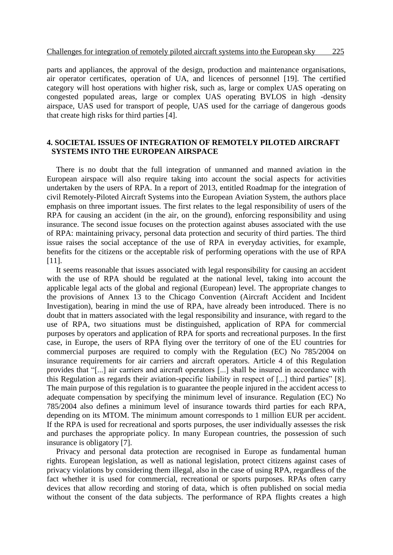parts and appliances, the approval of the design, production and maintenance organisations, air operator certificates, operation of UA, and licences of personnel [19]. The certified category will host operations with higher risk, such as, large or complex UAS operating on congested populated areas, large or complex UAS operating BVLOS in high -density airspace, UAS used for transport of people, UAS used for the carriage of dangerous goods that create high risks for third parties [4].

### **4. SOCIETAL ISSUES OF INTEGRATION OF REMOTELY PILOTED AIRCRAFT SYSTEMS INTO THE EUROPEAN AIRSPACE**

There is no doubt that the full integration of unmanned and manned aviation in the European airspace will also require taking into account the social aspects for activities undertaken by the users of RPA. In a report of 2013, entitled Roadmap for the integration of civil Remotely-Piloted Aircraft Systems into the European Aviation System, the authors place emphasis on three important issues. The first relates to the legal responsibility of users of the RPA for causing an accident (in the air, on the ground), enforcing responsibility and using insurance. The second issue focuses on the protection against abuses associated with the use of RPA: maintaining privacy, personal data protection and security of third parties. The third issue raises the social acceptance of the use of RPA in everyday activities, for example, benefits for the citizens or the acceptable risk of performing operations with the use of RPA [11].

It seems reasonable that issues associated with legal responsibility for causing an accident with the use of RPA should be regulated at the national level, taking into account the applicable legal acts of the global and regional (European) level. The appropriate changes to the provisions of Annex 13 to the Chicago Convention (Aircraft Accident and Incident Investigation), bearing in mind the use of RPA, have already been introduced. There is no doubt that in matters associated with the legal responsibility and insurance, with regard to the use of RPA, two situations must be distinguished, application of RPA for commercial purposes by operators and application of RPA for sports and recreational purposes. In the first case, in Europe, the users of RPA flying over the territory of one of the EU countries for commercial purposes are required to comply with the Regulation (EC) No 785/2004 on insurance requirements for air carriers and aircraft operators. Article 4 of this Regulation provides that "[...] air carriers and aircraft operators [...] shall be insured in accordance with this Regulation as regards their aviation-specific liability in respect of [...] third parties" [8]. The main purpose of this regulation is to guarantee the people injured in the accident access to adequate compensation by specifying the minimum level of insurance. Regulation (EC) No 785/2004 also defines a minimum level of insurance towards third parties for each RPA, depending on its MTOM. The minimum amount corresponds to 1 million EUR per accident. If the RPA is used for recreational and sports purposes, the user individually assesses the risk and purchases the appropriate policy. In many European countries, the possession of such insurance is obligatory [7].

Privacy and personal data protection are recognised in Europe as fundamental human rights. European legislation, as well as national legislation, protect citizens against cases of privacy violations by considering them illegal, also in the case of using RPA, regardless of the fact whether it is used for commercial, recreational or sports purposes. RPAs often carry devices that allow recording and storing of data, which is often published on social media without the consent of the data subjects. The performance of RPA flights creates a high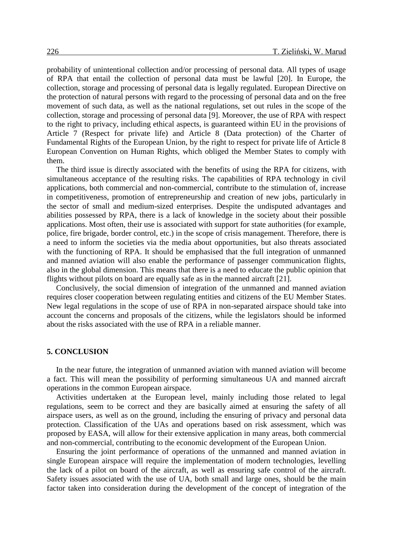probability of unintentional collection and/or processing of personal data. All types of usage of RPA that entail the collection of personal data must be lawful [20]. In Europe, the collection, storage and processing of personal data is legally regulated. European Directive on the protection of natural persons with regard to the processing of personal data and on the free movement of such data, as well as the national regulations, set out rules in the scope of the collection, storage and processing of personal data [9]. Moreover, the use of RPA with respect to the right to privacy, including ethical aspects, is guaranteed within EU in the provisions of Article 7 (Respect for private life) and Article 8 (Data protection) of the Charter of Fundamental Rights of the European Union, by the right to respect for private life of Article 8 European Convention on Human Rights, which obliged the Member States to comply with them.

The third issue is directly associated with the benefits of using the RPA for citizens, with simultaneous acceptance of the resulting risks. The capabilities of RPA technology in civil applications, both commercial and non-commercial, contribute to the stimulation of, increase in competitiveness, promotion of entrepreneurship and creation of new jobs, particularly in the sector of small and medium-sized enterprises. Despite the undisputed advantages and abilities possessed by RPA, there is a lack of knowledge in the society about their possible applications. Most often, their use is associated with support for state authorities (for example, police, fire brigade, border control, etc.) in the scope of crisis management. Therefore, there is a need to inform the societies via the media about opportunities, but also threats associated with the functioning of RPA. It should be emphasised that the full integration of unmanned and manned aviation will also enable the performance of passenger communication flights, also in the global dimension. This means that there is a need to educate the public opinion that flights without pilots on board are equally safe as in the manned aircraft [21].

Conclusively, the social dimension of integration of the unmanned and manned aviation requires closer cooperation between regulating entities and citizens of the EU Member States. New legal regulations in the scope of use of RPA in non-separated airspace should take into account the concerns and proposals of the citizens, while the legislators should be informed about the risks associated with the use of RPA in a reliable manner.

#### **5. CONCLUSION**

In the near future, the integration of unmanned aviation with manned aviation will become a fact. This will mean the possibility of performing simultaneous UA and manned aircraft operations in the common European airspace.

Activities undertaken at the European level, mainly including those related to legal regulations, seem to be correct and they are basically aimed at ensuring the safety of all airspace users, as well as on the ground, including the ensuring of privacy and personal data protection. Classification of the UAs and operations based on risk assessment, which was proposed by EASA, will allow for their extensive application in many areas, both commercial and non-commercial, contributing to the economic development of the European Union.

Ensuring the joint performance of operations of the unmanned and manned aviation in single European airspace will require the implementation of modern technologies, levelling the lack of a pilot on board of the aircraft, as well as ensuring safe control of the aircraft. Safety issues associated with the use of UA, both small and large ones, should be the main factor taken into consideration during the development of the concept of integration of the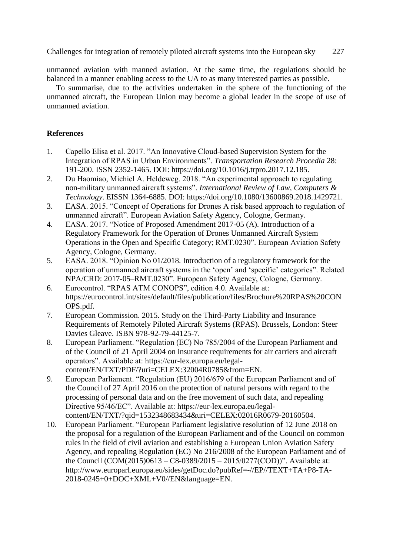unmanned aviation with manned aviation. At the same time, the regulations should be balanced in a manner enabling access to the UA to as many interested parties as possible.

To summarise, due to the activities undertaken in the sphere of the functioning of the unmanned aircraft, the European Union may become a global leader in the scope of use of unmanned aviation.

## **References**

- 1. Capello Elisa et al. 2017. "An Innovative Cloud-based Supervision System for the Integration of RPAS in Urban Environments". *Transportation Research Procedia* 28: 191-200. ISSN 2352-1465. DOI: https://doi.org/10.1016/j.trpro.2017.12.185.
- 2. Du Haomiao, Michiel A. Heldeweg. 2018. "An experimental approach to regulating non-military unmanned aircraft systems". *International Review of Law, Computers & Technology*. EISSN 1364-6885. DOI: https://doi.org/10.1080/13600869.2018.1429721.
- 3. EASA. 2015. "Concept of Operations for Drones A risk based approach to regulation of unmanned aircraft". European Aviation Safety Agency, Cologne, Germany.
- 4. EASA. 2017. "Notice of Proposed Amendment 2017-05 (A). Introduction of a Regulatory Framework for the Operation of Drones Unmanned Aircraft System Operations in the Open and Specific Category; RMT.0230". European Aviation Safety Agency, Cologne, Germany.
- 5. EASA. 2018. "Opinion No 01/2018. Introduction of a regulatory framework for the operation of unmanned aircraft systems in the 'open' and 'specific' categories". Related NPA/CRD: 2017-05–RMT.0230". European Safety Agency, Cologne, Germany.
- 6. Eurocontrol. "RPAS ATM CONOPS", edition 4.0. Available at: https://eurocontrol.int/sites/default/files/publication/files/Brochure%20RPAS%20CON OPS.pdf.
- 7. European Commission. 2015. Study on the Third-Party Liability and Insurance Requirements of Remotely Piloted Aircraft Systems (RPAS). Brussels, London: Steer Davies Gleave. ISBN 978-92-79-44125-7.
- 8. European Parliament. "Regulation (EC) No 785/2004 of the European Parliament and of the Council of 21 April 2004 on insurance requirements for air carriers and aircraft operators". Available at: https://eur-lex.europa.eu/legalcontent/EN/TXT/PDF/?uri=CELEX:32004R0785&from=EN.
- 9. European Parliament. "Regulation (EU) 2016/679 of the European Parliament and of the Council of 27 April 2016 on the protection of natural persons with regard to the processing of personal data and on the free movement of such data, and repealing Directive 95/46/EC". Available at: https://eur-lex.europa.eu/legalcontent/EN/TXT/?qid=1532348683434&uri=CELEX:02016R0679-20160504.
- 10. European Parliament. "European Parliament legislative resolution of 12 June 2018 on the proposal for a regulation of the European Parliament and of the Council on common rules in the field of civil aviation and establishing a European Union Aviation Safety Agency, and repealing Regulation (EC) No 216/2008 of the European Parliament and of the Council (COM(2015)0613 – C8-0389/2015 – 2015/0277(COD))". Available at: http://www.europarl.europa.eu/sides/getDoc.do?pubRef=-//EP//TEXT+TA+P8-TA-2018-0245+0+DOC+XML+V0//EN&language=EN.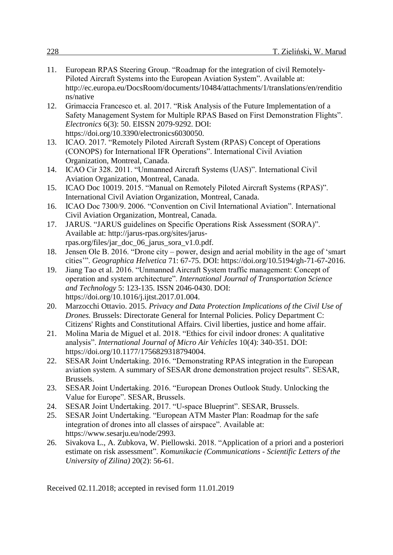- 11. European RPAS Steering Group. "Roadmap for the integration of civil Remotely-Piloted Aircraft Systems into the European Aviation System". Available at: http://ec.europa.eu/DocsRoom/documents/10484/attachments/1/translations/en/renditio ns/native
- 12. Grimaccia Francesco et. al. 2017. "Risk Analysis of the Future Implementation of a Safety Management System for Multiple RPAS Based on First Demonstration Flights". *Electronics* 6(3): 50. EISSN 2079-9292. DOI: https://doi.org/10.3390/electronics6030050.
- 13. ICAO. 2017. "Remotely Piloted Aircraft System (RPAS) Concept of Operations (CONOPS) for International IFR Operations". International Civil Aviation Organization, Montreal, Canada.
- 14. ICAO Cir 328. 2011. "Unmanned Aircraft Systems (UAS)". International Civil Aviation Organization, Montreal, Canada.
- 15. ICAO Doc 10019. 2015. "Manual on Remotely Piloted Aircraft Systems (RPAS)". International Civil Aviation Organization, Montreal, Canada.
- 16. ICAO Doc 7300/9. 2006. "Convention on Civil International Aviation". International Civil Aviation Organization, Montreal, Canada.
- 17. JARUS. "JARUS guidelines on Specific Operations Risk Assessment (SORA)". Available at: http://jarus-rpas.org/sites/jarusrpas.org/files/jar\_doc\_06\_jarus\_sora\_v1.0.pdf.
- 18. Jensen Ole B. 2016. "Drone city power, design and aerial mobility in the age of 'smart cities'". *Geographica Helvetica* 71: 67-75. DOI: https://doi.org/10.5194/gh-71-67-2016.
- 19. Jiang Tao et al. 2016. "Unmanned Aircraft System traffic management: Concept of operation and system architecture". *International Journal of Transportation Science and Technology* 5: 123-135. ISSN 2046-0430. DOI: https://doi.org/10.1016/j.ijtst.2017.01.004.
- 20. Marzocchi Ottavio. 2015. *Privacy and Data Protection Implications of the Civil Use of Drones.* Brussels: Directorate General for Internal Policies. Policy Department C: Citizens' Rights and Constitutional Affairs. Civil liberties, justice and home affair.
- 21. Molina Maria de Miguel et al. 2018. "Ethics for civil indoor drones: A qualitative analysis". *International Journal of Micro Air Vehicles* 10(4): 340-351. DOI: https://doi.org/10.1177/1756829318794004.
- 22. SESAR Joint Undertaking. 2016. "Demonstrating RPAS integration in the European aviation system. A summary of SESAR drone demonstration project results". SESAR, Brussels.
- 23. SESAR Joint Undertaking. 2016. "European Drones Outlook Study. Unlocking the Value for Europe". SESAR, Brussels.
- 24. SESAR Joint Undertaking. 2017. "U-space Blueprint". SESAR, Brussels.
- 25. SESAR Joint Undertaking. "European ATM Master Plan: Roadmap for the safe integration of drones into all classes of airspace". Available at: https://www.sesarju.eu/node/2993.
- 26. Sivakova L., A. Zubkova, W. Piellowski. 2018. "Application of a priori and a posteriori estimate on risk assessment". *Komunikacie (Communications - Scientific Letters of the University of Zilina)* 20(2): 56-61.

Received 02.11.2018; accepted in revised form 11.01.2019